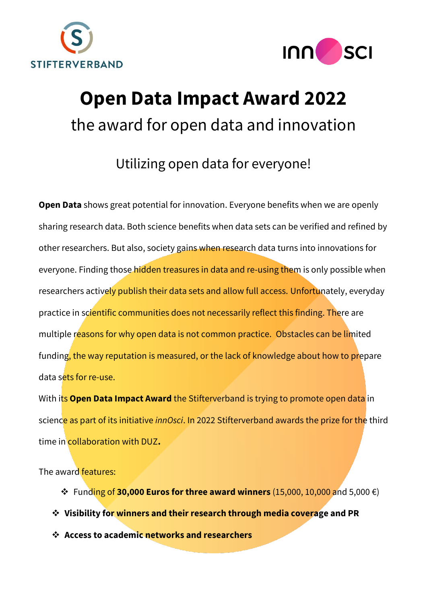



# **Open Data Impact Award 2022** the award for open data and innovation

# Utilizing open data for everyone!

**Open Data** shows great potential for innovation. Everyone benefits when we are openly sharing research data. Both science benefits when data sets can be verified and refined by other researchers. But also, society gains when research data turns into innovations for everyone. Finding those hidden treasures in data and re-using them is only possible when researchers actively publish their data sets and allow full access. Unfortunately, everyday practice in scientific communities does not necessarily reflect this finding. There are multiple reasons for why open data is not common practice. Obstacles can be limited funding, the way reputation is measured, or the lack of knowledge about how to prepare data sets for re-use.

With its **Open Data Impact Award** the Stifterverband is trying to promote open data in science as part of its initiative *innOsci*. In 2022 Stifterverband awards the prize for the third time in collaboration with DUZ**.**

The award features:

- ❖ Funding of **30,000 Euros for three award winners** (15,000, 10,000 and 5,000 €)
- ❖ **Visibility for winners and their research through media coverage and PR**
- ❖ **Access to academic networks and researchers**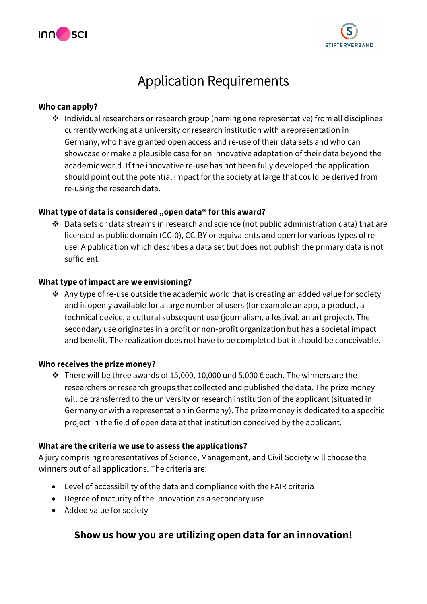



# Application Requirements

#### **Who can apply?**

❖ Individual researchers or research group (naming one representative) from all disciplines currently working at a university or research institution with a representation in Germany, who have granted open access and re-use of their data sets and who can showcase or make a plausible case for an innovative adaptation of their data beyond the academic world. If the innovative re-use has not been fully developed the application should point out the potential impact for the society at large that could be derived from re-using the research data.

#### **What type of data is considered "open data" for this award?**

❖ Data sets or data streams in research and science (not public administration data) that are licensed as public domain (CC-0), CC-BY or equivalents and open for various types of reuse. A publication which describes a data set but does not publish the primary data is not sufficient.

#### **What type of impact are we envisioning?**

❖ Any type of re-use outside the academic world that is creating an added value for society and is openly available for a large number of users (for example an app, a product, a technical device, a cultural subsequent use (journalism, a festival, an art project). The secondary use originates in a profit or non-profit organization but has a societal impact and benefit. The realization does not have to be completed but it should be conceivable.

#### **Who receives the prize money?**

❖ There will be three awards of 15,000, 10,000 und 5,000 € each. The winners are the researchers or research groups that collected and published the data. The prize money will be transferred to the university or research institution of the applicant (situated in Germany or with a representation in Germany). The prize money is dedicated to a specific project in the field of open data at that institution conceived by the applicant.

#### **What are the criteria we use to assess the applications?**

A jury comprising representatives of Science, Management, and Civil Society will choose the winners out of all applications. The criteria are:

- Level of accessibility of the data and compliance with the FAIR criteria
- Degree of maturity of the innovation as a secondary use
- Added value for society

### **Show us how you are utilizing open data for an innovation!**